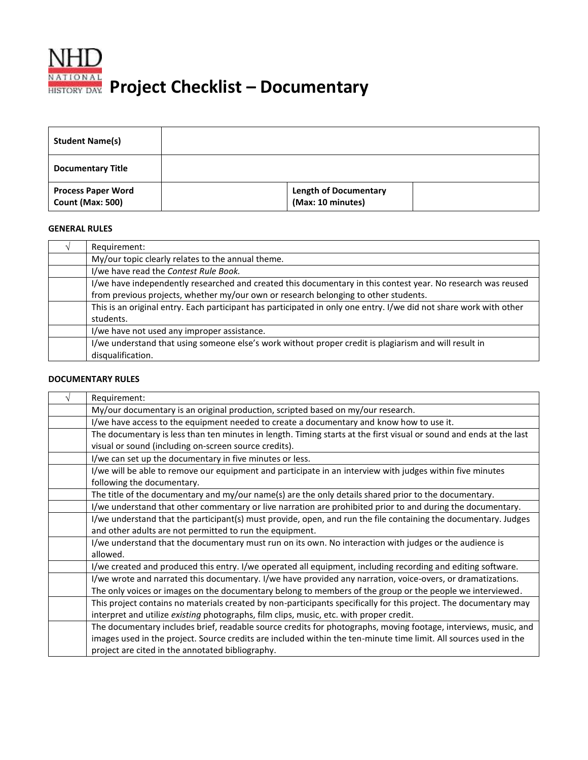

| <b>Student Name(s)</b>                               |                                                   |
|------------------------------------------------------|---------------------------------------------------|
| <b>Documentary Title</b>                             |                                                   |
| <b>Process Paper Word</b><br><b>Count (Max: 500)</b> | <b>Length of Documentary</b><br>(Max: 10 minutes) |

## **GENERAL RULES**

| Requirement:                                                                                                       |
|--------------------------------------------------------------------------------------------------------------------|
| My/our topic clearly relates to the annual theme.                                                                  |
| I/we have read the Contest Rule Book.                                                                              |
| I/we have independently researched and created this documentary in this contest year. No research was reused       |
| from previous projects, whether my/our own or research belonging to other students.                                |
| This is an original entry. Each participant has participated in only one entry. I/we did not share work with other |
| students.                                                                                                          |
| I/we have not used any improper assistance.                                                                        |
| I/we understand that using someone else's work without proper credit is plagiarism and will result in              |
| disqualification.                                                                                                  |

## **DOCUMENTARY RULES**

| Requirement:                                                                                                                                                                                                                                                                             |  |
|------------------------------------------------------------------------------------------------------------------------------------------------------------------------------------------------------------------------------------------------------------------------------------------|--|
| My/our documentary is an original production, scripted based on my/our research.                                                                                                                                                                                                         |  |
| I/we have access to the equipment needed to create a documentary and know how to use it.                                                                                                                                                                                                 |  |
| The documentary is less than ten minutes in length. Timing starts at the first visual or sound and ends at the last<br>visual or sound (including on-screen source credits).                                                                                                             |  |
| I/we can set up the documentary in five minutes or less.                                                                                                                                                                                                                                 |  |
| I/we will be able to remove our equipment and participate in an interview with judges within five minutes<br>following the documentary.                                                                                                                                                  |  |
| The title of the documentary and my/our name(s) are the only details shared prior to the documentary.                                                                                                                                                                                    |  |
| I/we understand that other commentary or live narration are prohibited prior to and during the documentary.                                                                                                                                                                              |  |
| I/we understand that the participant(s) must provide, open, and run the file containing the documentary. Judges<br>and other adults are not permitted to run the equipment.                                                                                                              |  |
| I/we understand that the documentary must run on its own. No interaction with judges or the audience is<br>allowed.                                                                                                                                                                      |  |
| I/we created and produced this entry. I/we operated all equipment, including recording and editing software.                                                                                                                                                                             |  |
| I/we wrote and narrated this documentary. I/we have provided any narration, voice-overs, or dramatizations.<br>The only voices or images on the documentary belong to members of the group or the people we interviewed.                                                                 |  |
| This project contains no materials created by non-participants specifically for this project. The documentary may<br>interpret and utilize existing photographs, film clips, music, etc. with proper credit.                                                                             |  |
| The documentary includes brief, readable source credits for photographs, moving footage, interviews, music, and<br>images used in the project. Source credits are included within the ten-minute time limit. All sources used in the<br>project are cited in the annotated bibliography. |  |